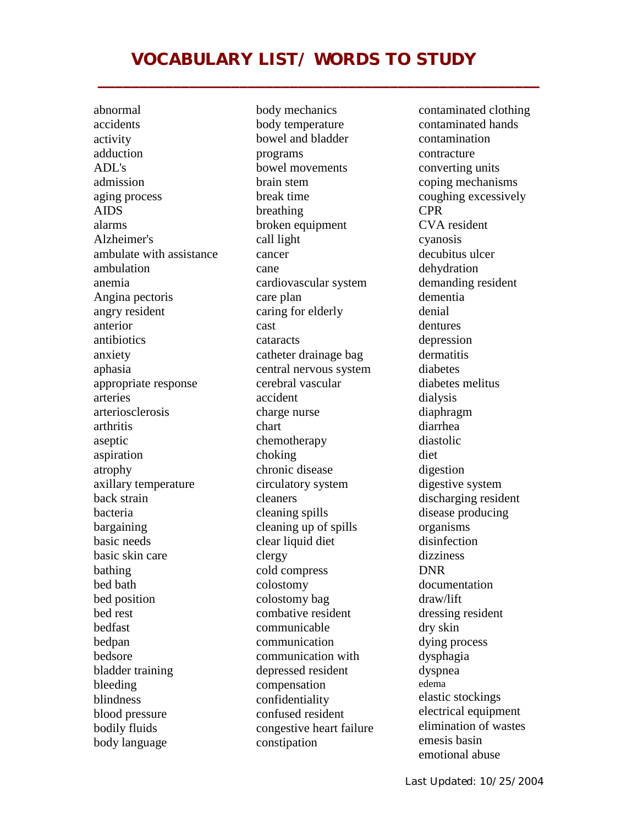## **VOCABULARY LIST/ WORDS TO STUDY**

**\_\_\_\_\_\_\_\_\_\_\_\_\_\_\_\_\_\_\_\_\_\_\_\_\_\_\_\_\_\_\_\_\_\_\_\_\_\_\_\_\_\_\_\_\_\_\_\_\_\_\_\_\_** 

abnormal accidents activity adduction ADL's admission aging process AIDS alarms Alzheimer's ambulate with assistance ambulation anemia Angina pectoris angry resident anterior antibiotics anxiety aphasia appropriate response arteries arteriosclerosis arthritis aseptic aspiration atrophy axillary temperature back strain bacteria bargaining basic needs basic skin care bathing bed bath bed position bed rest bedfast bedpan bedsore bladder training bleeding blindness blood pressure bodily fluids body language

body mechanics body temperature bowel and bladder programs bowel movements brain stem break time breathing broken equipment call light cancer cane cardiovascular system care plan caring for elderly cast cataracts catheter drainage bag central nervous system cerebral vascular accident charge nurse chart chemotherapy choking chronic disease circulatory system cleaners cleaning spills cleaning up of spills clear liquid diet clergy cold compress colostomy colostomy bag combative resident communicable communication communication with depressed resident compensation confidentiality confused resident congestive heart failure constipation

contaminated clothing contaminated hands contamination contracture converting units coping mechanisms coughing excessively CPR CVA resident cyanosis decubitus ulcer dehydration demanding resident dementia denial dentures depression dermatitis diabetes diabetes melitus dialysis diaphragm diarrhea diastolic diet digestion digestive system discharging resident disease producing organisms disinfection dizziness DNR documentation draw/lift dressing resident dry skin dying process dysphagia dyspnea edema elastic stockings electrical equipment elimination of wastes emesis basin emotional abuse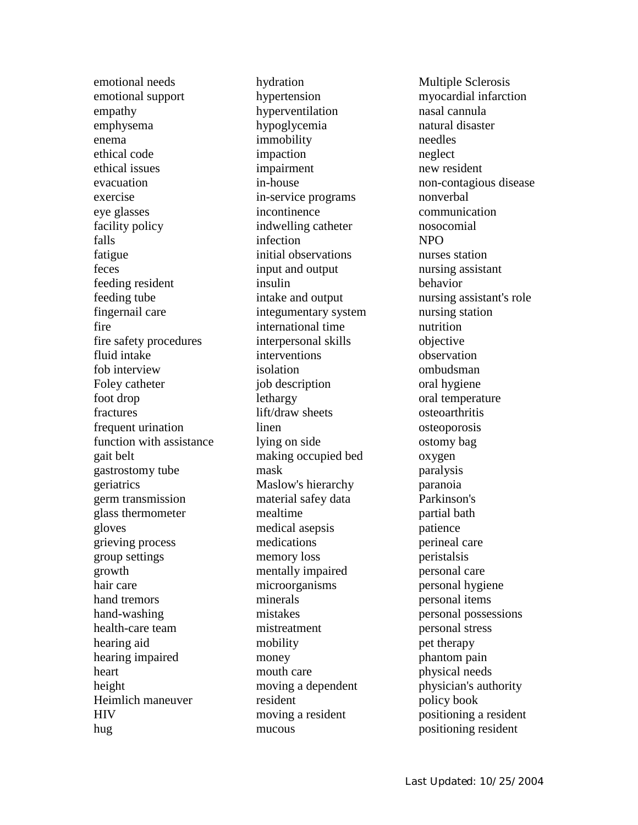emotional needs emotional support empathy emphysema enema ethical code ethical issues evacuation exercise eye glasses facility policy falls fatigue feces feeding resident feeding tube fingernail care fire fire safety procedures fluid intake fob interview Foley catheter foot drop fractures frequent urination function with assistance gait belt gastrostomy tube geriatrics germ transmission glass thermometer gloves grieving process group settings growth hair care hand tremors hand-washing health-care team hearing aid hearing impaired heart height Heimlich maneuver **HIV** hug

hydration hypertension hyperventilation hypoglycemia immobility impaction impairment in-house in-service programs incontinence indwelling catheter infection initial observations input and output insulin intake and output integumentary system international time interpersonal skills interventions isolation job description lethargy lift/draw sheets linen lying on side making occupied bed mask Maslow's hierarchy material safey data mealtime medical asepsis medications memory loss mentally impaired microorganisms minerals mistakes mistreatment mobility money mouth care moving a dependent resident moving a resident mucous

Multiple Sclerosis myocardial infarction nasal cannula natural disaster needles neglect new resident non-contagious disease nonverbal communication nosocomial NPO nurses station nursing assistant behavior nursing assistant's role nursing station nutrition objective observation ombudsman oral hygiene oral temperature osteoarthritis osteoporosis ostomy bag oxygen paralysis paranoia Parkinson's partial bath patience perineal care peristalsis personal care personal hygiene personal items personal possessions personal stress pet therapy phantom pain physical needs physician's authority policy book positioning a resident positioning resident